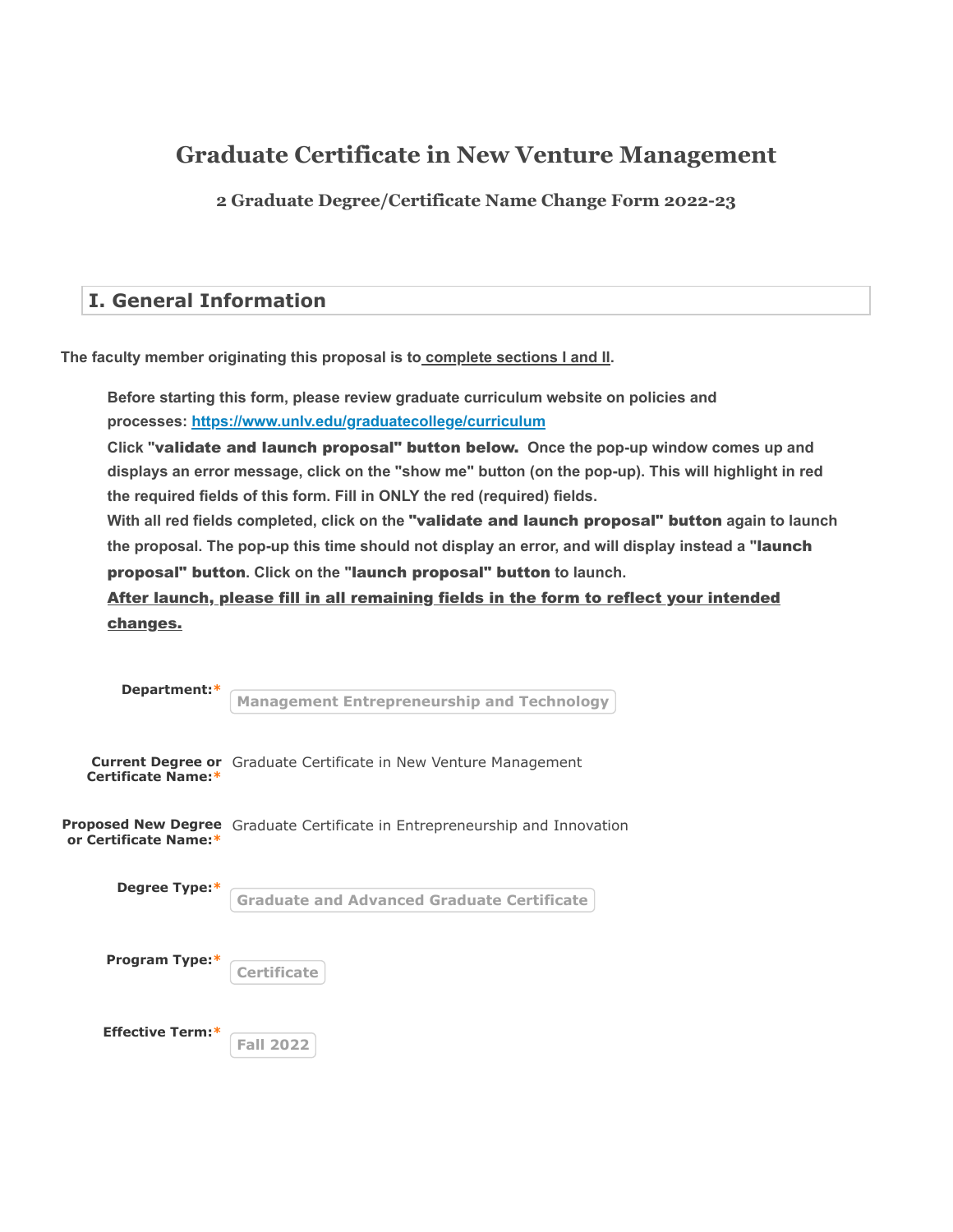# **Graduate Certificate in New Venture Management**

**2 Graduate Degree/Certificate Name Change Form 2022-23**

## **I. General Information**

**The faculty member originating this proposal is to complete sections I and II.**

**Before starting this form, please review graduate curriculum website on policies and processes: <https://www.unlv.edu/graduatecollege/curriculum>**

Click "validate and launch proposal" button below. Once the pop-up window comes up and **displays an error message, click on the "show me" button (on the pop-up). This will highlight in red the required fields of this form. Fill in ONLY the red (required) fields.**

With all red fields completed, click on the "validate and launch proposal" button again to launch **the proposal. The pop-up this time should not display an error, and will display instead a "** launch proposal" button. Click on the "launch proposal" button to launch.

After launch, please fill in all remaining fields in the form to reflect your intended changes.

| Department:*            |                                                                             |
|-------------------------|-----------------------------------------------------------------------------|
|                         | <b>Management Entrepreneurship and Technology</b>                           |
|                         |                                                                             |
| Certificate Name:*      | <b>Current Degree or</b> Graduate Certificate in New Venture Management     |
| or Certificate Name:*   | Proposed New Degree Graduate Certificate in Entrepreneurship and Innovation |
| Degree Type:*           | <b>Graduate and Advanced Graduate Certificate</b>                           |
| Program Type:*          | <b>Certificate</b>                                                          |
| <b>Effective Term:*</b> | <b>Fall 2022</b>                                                            |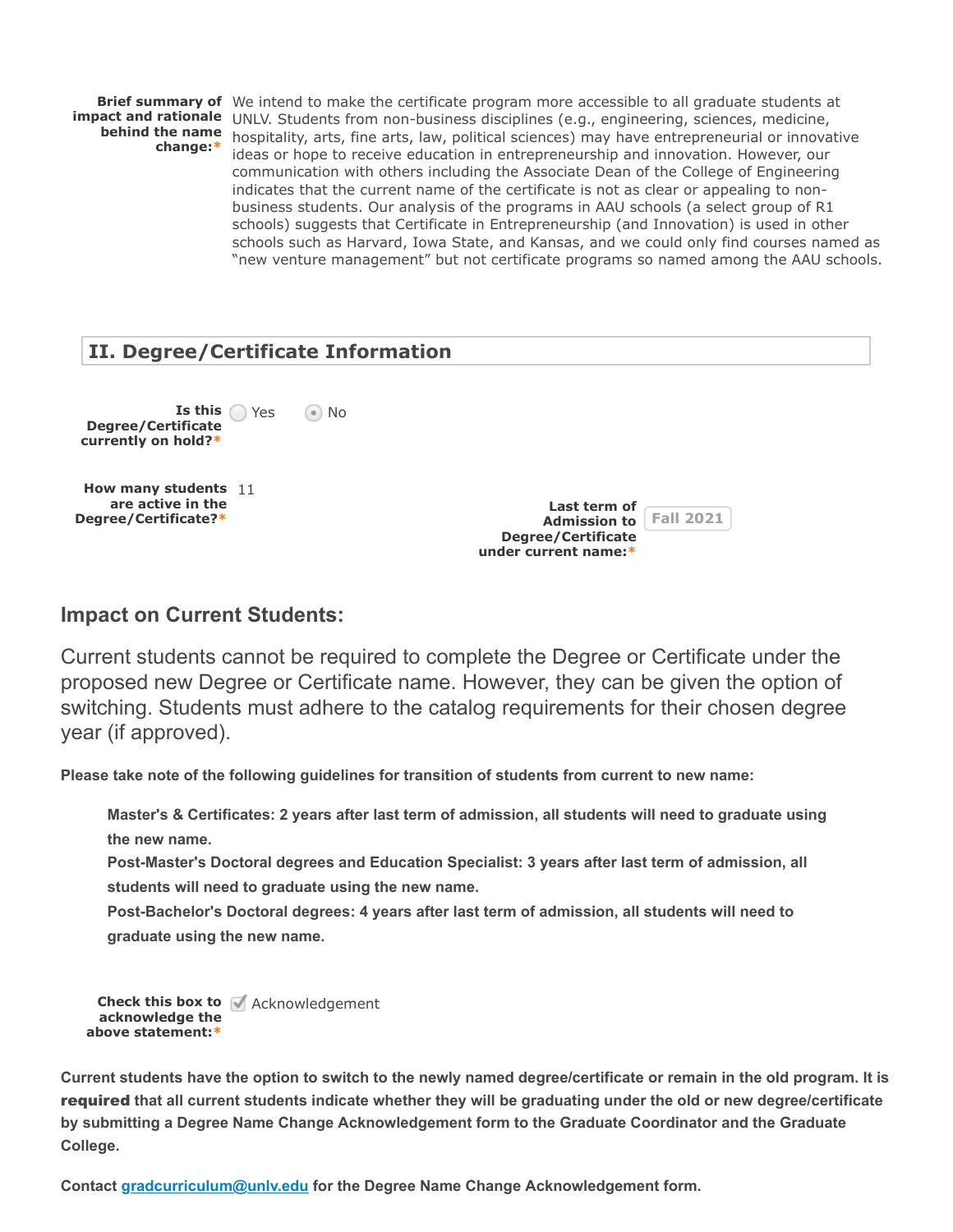**change: \***

**Brief summary of** We intend to make the certificate program more accessible to all graduate students at **impact and rationale** UNLV. Students from non-business disciplines (e.g., engineering, sciences, medicine, **behind the name** hospitality, arts, fine arts, law, political sciences) may have entrepreneurial or innovative ideas or hope to receive education in entrepreneurship and innovation. However, our communication with others including the Associate Dean of the College of Engineering indicates that the current name of the certificate is not as clear or appealing to nonbusiness students. Our analysis of the programs in AAU schools (a select group of R1 schools) suggests that Certificate in Entrepreneurship (and Innovation) is used in other schools such as Harvard, Iowa State, and Kansas, and we could only find courses named as "new venture management" but not certificate programs so named among the AAU schools.

## **II. Degree/Certificate Information**

**Is this Degree/Certificate currently on hold?\***  $\odot$  No **How many students** 11 **are active in the Degree/Certificate? \***

**Last term of Admission to Fall 2021 Degree/Certificate under current name:\***

## **Impact on Current Students:**

Current students cannot be required to complete the Degree or Certificate under the proposed new Degree or Certificate name. However, they can be given the option of switching. Students must adhere to the catalog requirements for their chosen degree year (if approved).

**Please take note of the following guidelines for transition of students from current to new name:**

**Master's & Certificates: 2 years after last term of admission, all students will need to graduate using the new name.**

**Post-Master's Doctoral degrees and Education Specialist: 3 years after last term of admission, all students will need to graduate using the new name.**

**Post-Bachelor's Doctoral degrees: 4 years after last term of admission, all students will need to graduate using the new name.**

```
Check this box to
Acknowledgement
 acknowledge the
above statement:*
```
**Current students have the option to switch to the newly named degree/certificate or remain in the old program. It is** required that all current students indicate whether they will be graduating under the old or new degree/certificate **by submitting a Degree Name Change Acknowledgement form to the Graduate Coordinator and the Graduate College.**

**Contact [gradcurriculum@unlv.edu](mailto:gradcurriculum@unlv.edu) for the Degree Name Change Acknowledgement form.**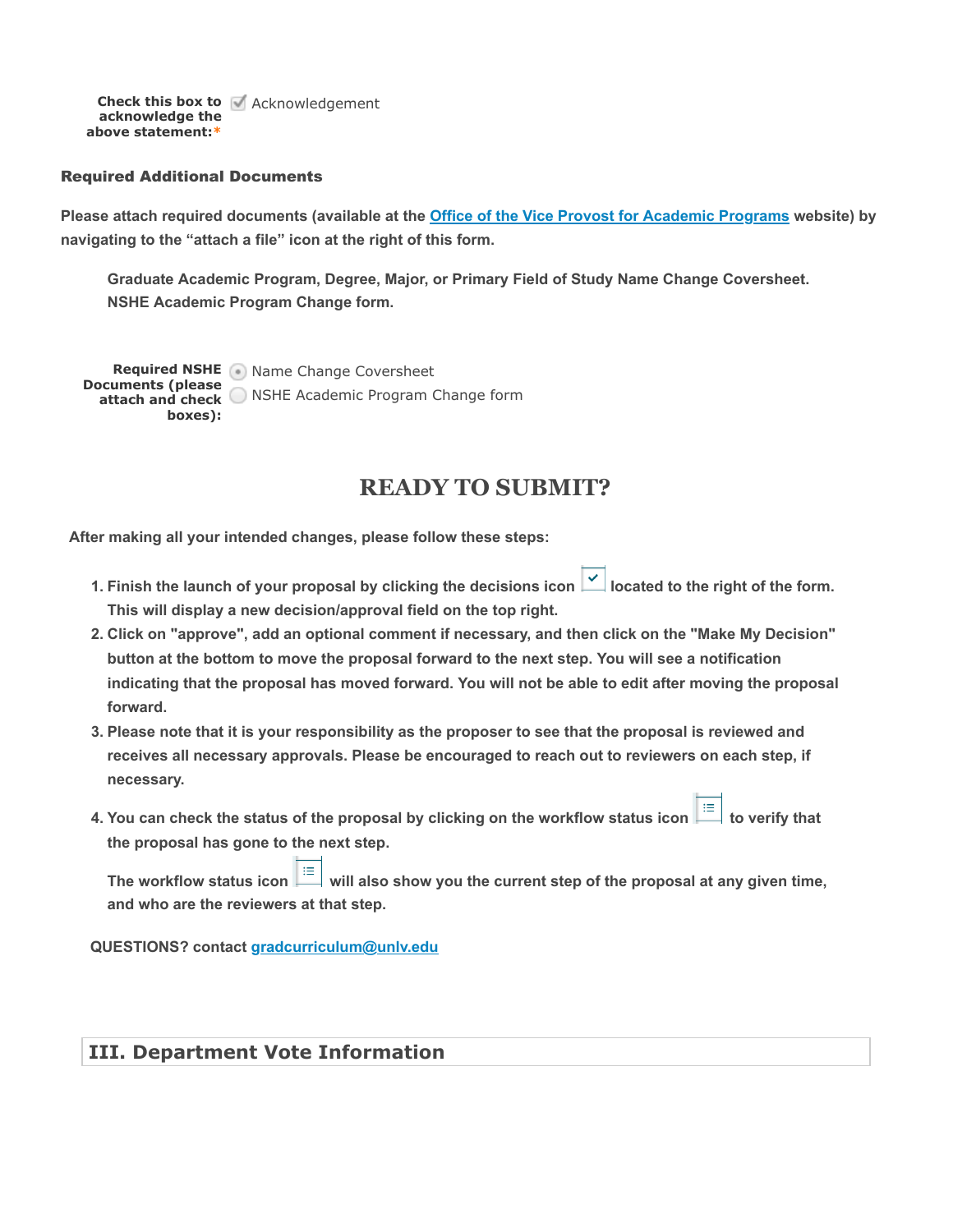**Check this box to** Acknowledgement **acknowledge the above statement:\***

#### Required Additional Documents

Please attach required documents (available at the **Office of the Vice Provost for Academic Prog<u>rams</u> website) by navigating to the "attach a file" icon at the right of this form.**

**Graduate Academic Program, Degree, Major, or Primary Field of Study Name Change Coversheet. NSHE Academic Program Change form.**

**Required NSHE** Name Change Coversheet **Documents (please attach and check** NSHE Academic Program Change form **boxes):**

## **READY TO SUBMIT?**

 **After making all your intended changes, please follow these steps:**

- 1. Finish the launch of your proposal by clicking the decisions icon **1** located to the right of the form. **This will display a new decision/approval field on the top right.**
- **2. Click on "approve", add an optional comment if necessary, and then click on the "Make My Decision" button at the bottom to move the proposal forward to the next step. You will see a notification indicating that the proposal has moved forward. You will not be able to edit after moving the proposal forward.**
- **3. Please note that it is your responsibility as the proposer to see that the proposal is reviewed and receives all necessary approvals. Please be encouraged to reach out to reviewers on each step, if necessary.**
- **4. You can check the status of the proposal by clicking on the workflow status icon**  $\frac{1}{n}$  **to verify that the proposal has gone to the next step.**

The workflow status icon  $\frac{1}{n}$  will also show you the current step of the proposal at any given time, **and who are the reviewers at that step.**

**QUESTIONS? contact [gradcurriculum@unlv.edu](mailto:gradcurriculum@unlv.edu)**

### **III. Department Vote Information**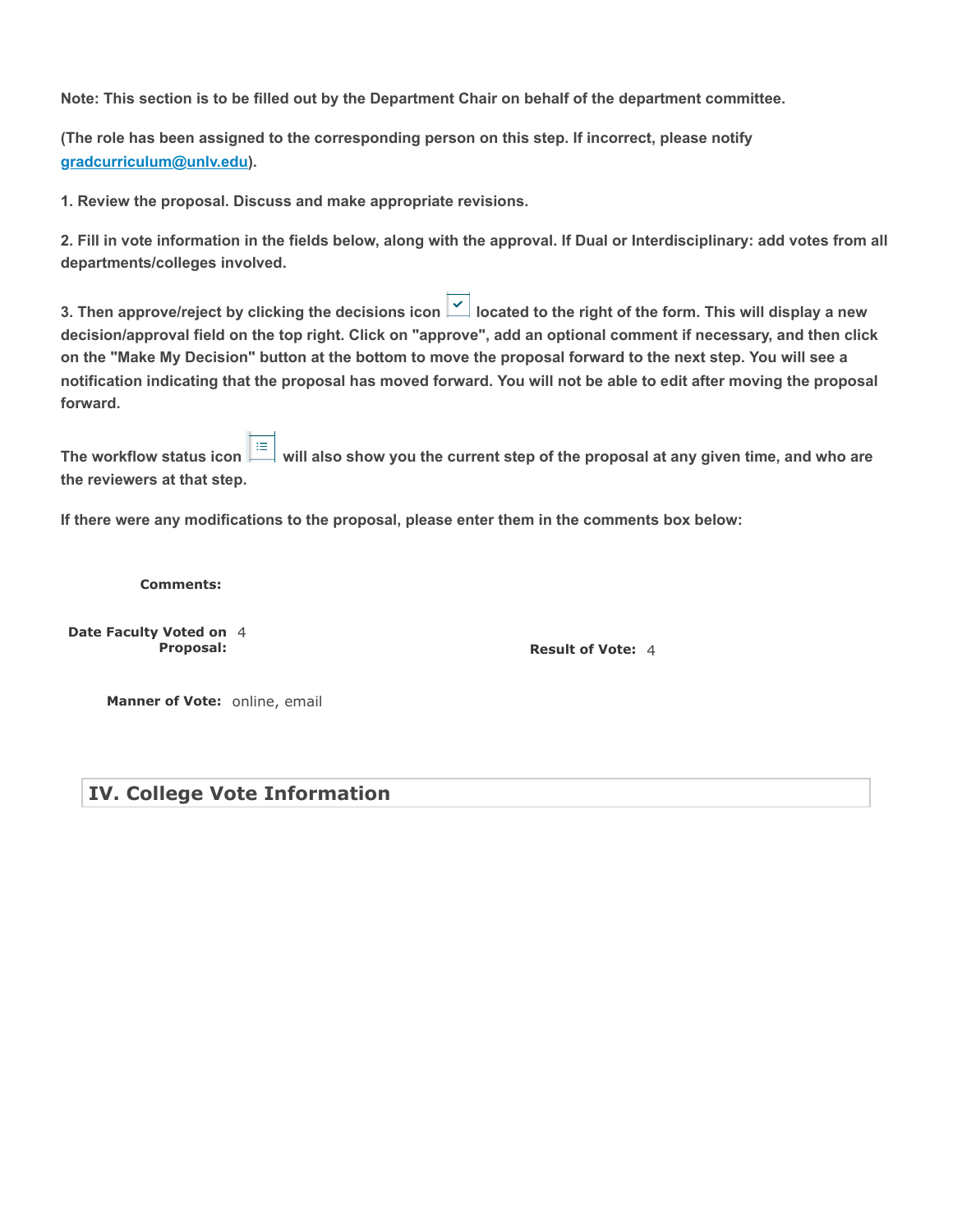**Note: This section is to be filled out by the Department Chair on behalf of the department committee.**

**(The role has been assigned to the corresponding person on this step. If incorrect, please notify [gradcurriculum@unlv.edu\)](mailto:gradcurriculum@unlv.edu).**

**1. Review the proposal. Discuss and make appropriate revisions.**

**2. Fill in vote information in the fields below, along with the approval. If Dual or Interdisciplinary: add votes from all departments/colleges involved.**

**3. Then approve/reject by clicking the decisions icon |**  $\leq$  **| located to the right of the form. This will display a new decision/approval field on the top right. Click on "approve", add an optional comment if necessary, and then click on the "Make My Decision" button at the bottom to move the proposal forward to the next step. You will see a notification indicating that the proposal has moved forward. You will not be able to edit after moving the proposal forward.**

**The workflow status icon**  $\equiv$  will also show you the current step of the proposal at any given time, and who are **the reviewers at that step.**

**If there were any modifications to the proposal, please enter them in the comments box below:**

**Comments:**

**Date Faculty Voted on** 4 **Proposal:**

**Result of Vote:** 4

**Manner of Vote:** online, email

**IV. College Vote Information**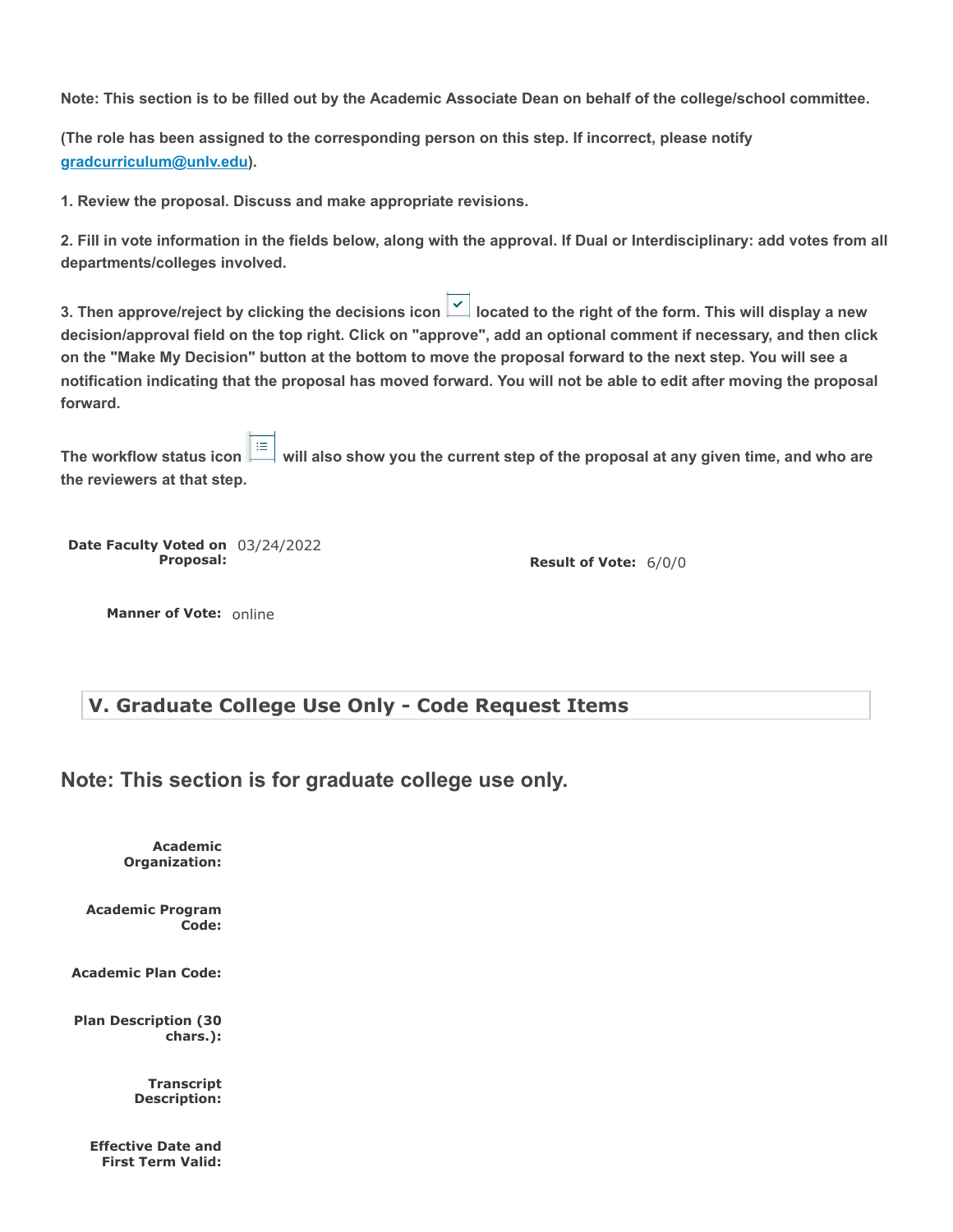**Note: This section is to be filled out by the Academic Associate Dean on behalf of the college/school committee.**

**(The role has been assigned to the corresponding person on this step. If incorrect, please notify [gradcurriculum@unlv.edu\)](mailto:gradcurriculum@unlv.edu).**

**1. Review the proposal. Discuss and make appropriate revisions.**

**2. Fill in vote information in the fields below, along with the approval. If Dual or Interdisciplinary: add votes from all departments/colleges involved.**

**3. Then approve/reject by clicking the decisions icon |**  $\leq$  **| located to the right of the form. This will display a new decision/approval field on the top right. Click on "approve", add an optional comment if necessary, and then click on the "Make My Decision" button at the bottom to move the proposal forward to the next step. You will see a notification indicating that the proposal has moved forward. You will not be able to edit after moving the proposal forward.**

**The workflow status icon**  $\frac{1}{100}$  **will also show you the current step of the proposal at any given time, and who are the reviewers at that step.**

**Date Faculty Voted on** 03/24/2022 **Proposal:**

**Result of Vote:** 6/0/0

**Manner of Vote:** online

## **V. Graduate College Use Only - Code Request Items**

**Note: This section is for graduate college use only.**

**Academic Organization:**

**Academic Program Code:**

**Academic Plan Code:**

**Plan Description (30 chars.):**

> **Transcript Description:**

**Effective Date and First Term Valid:**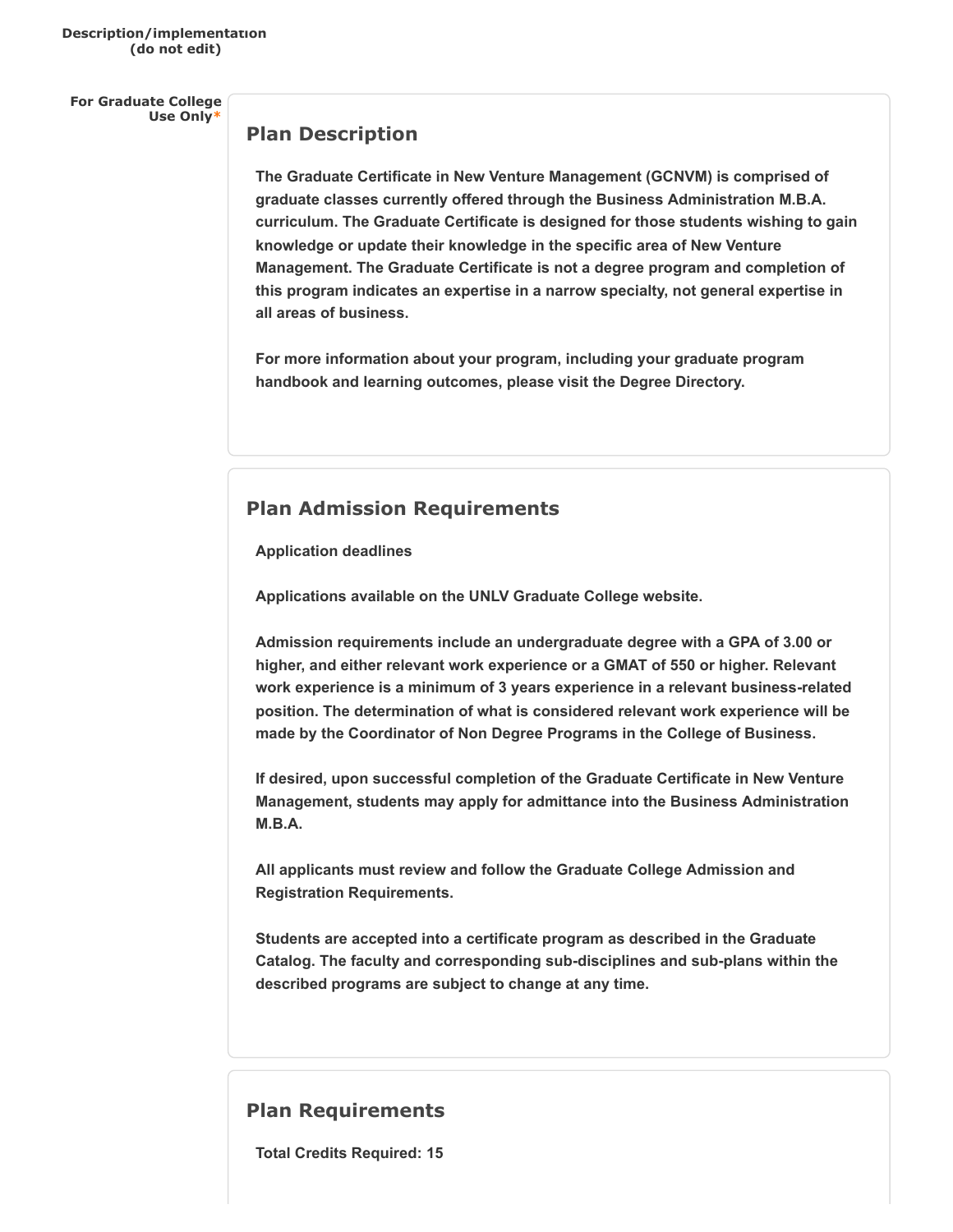**For Graduate College Use Only\***

### **Plan Description**

**The Graduate Certificate in New Venture Management (GCNVM) is comprised of graduate classes currently offered through the Business Administration M.B.A. curriculum. The Graduate Certificate is designed for those students wishing to gain knowledge or update their knowledge in the specific area of New Venture Management. The Graduate Certificate is not a degree program and completion of this program indicates an expertise in a narrow specialty, not general expertise in all areas of business.**

**For more information about your program, including your graduate program handbook and learning outcomes, please visit the Degree Directory.**

## **Plan Admission Requirements**

**Application deadlines**

**Applications available on the UNLV Graduate College website.**

**Admission requirements include an undergraduate degree with a GPA of 3.00 or higher, and either relevant work experience or a GMAT of 550 or higher. Relevant work experience is a minimum of 3 years experience in a relevant business-related position. The determination of what is considered relevant work experience will be made by the Coordinator of Non Degree Programs in the College of Business.**

**If desired, upon successful completion of the Graduate Certificate in New Venture Management, students may apply for admittance into the Business Administration M.B.A.**

**All applicants must review and follow the Graduate College Admission and Registration Requirements.**

**Students are accepted into a certificate program as described in the Graduate Catalog. The faculty and corresponding sub-disciplines and sub-plans within the described programs are subject to change at any time.**

### **Plan Requirements**

**Total Credits Required: 15**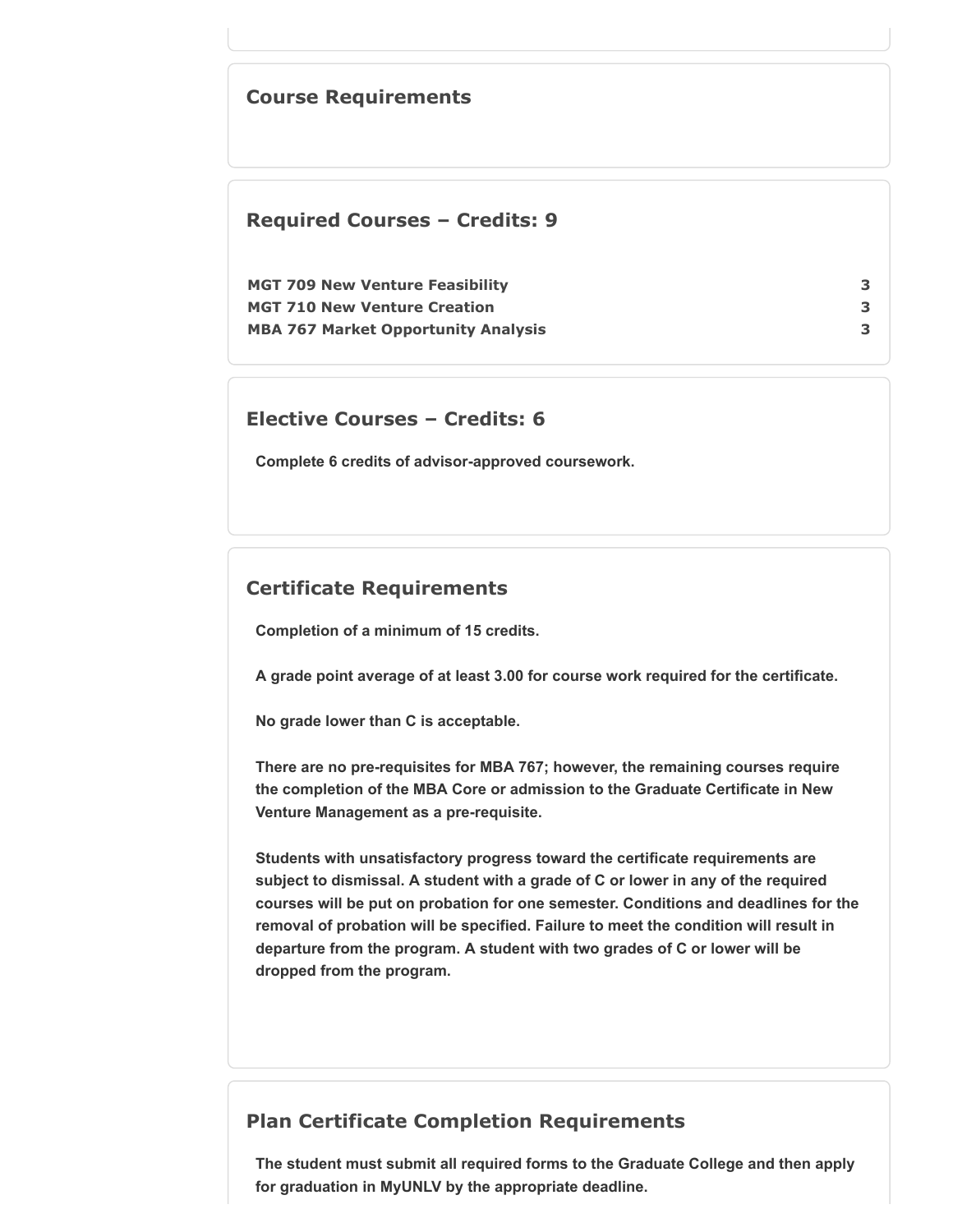## **Course Requirements**

### **Required Courses – Credits: 9**

| <b>MGT 709 New Venture Feasibility</b>     |  |
|--------------------------------------------|--|
| <b>MGT 710 New Venture Creation</b>        |  |
| <b>MBA 767 Market Opportunity Analysis</b> |  |

### **Elective Courses – Credits: 6**

**Complete 6 credits of advisor-approved coursework.**

## **Certificate Requirements**

**Completion of a minimum of 15 credits.**

**A grade point average of at least 3.00 for course work required for the certificate.**

**No grade lower than C is acceptable.**

**There are no pre-requisites for MBA 767; however, the remaining courses require the completion of the MBA Core or admission to the Graduate Certificate in New Venture Management as a pre-requisite.**

**Students with unsatisfactory progress toward the certificate requirements are subject to dismissal. A student with a grade of C or lower in any of the required courses will be put on probation for one semester. Conditions and deadlines for the removal of probation will be specified. Failure to meet the condition will result in departure from the program. A student with two grades of C or lower will be dropped from the program.**

## **Plan Certificate Completion Requirements**

**The student must submit all required forms to the Graduate College and then apply for graduation in MyUNLV by the appropriate deadline.**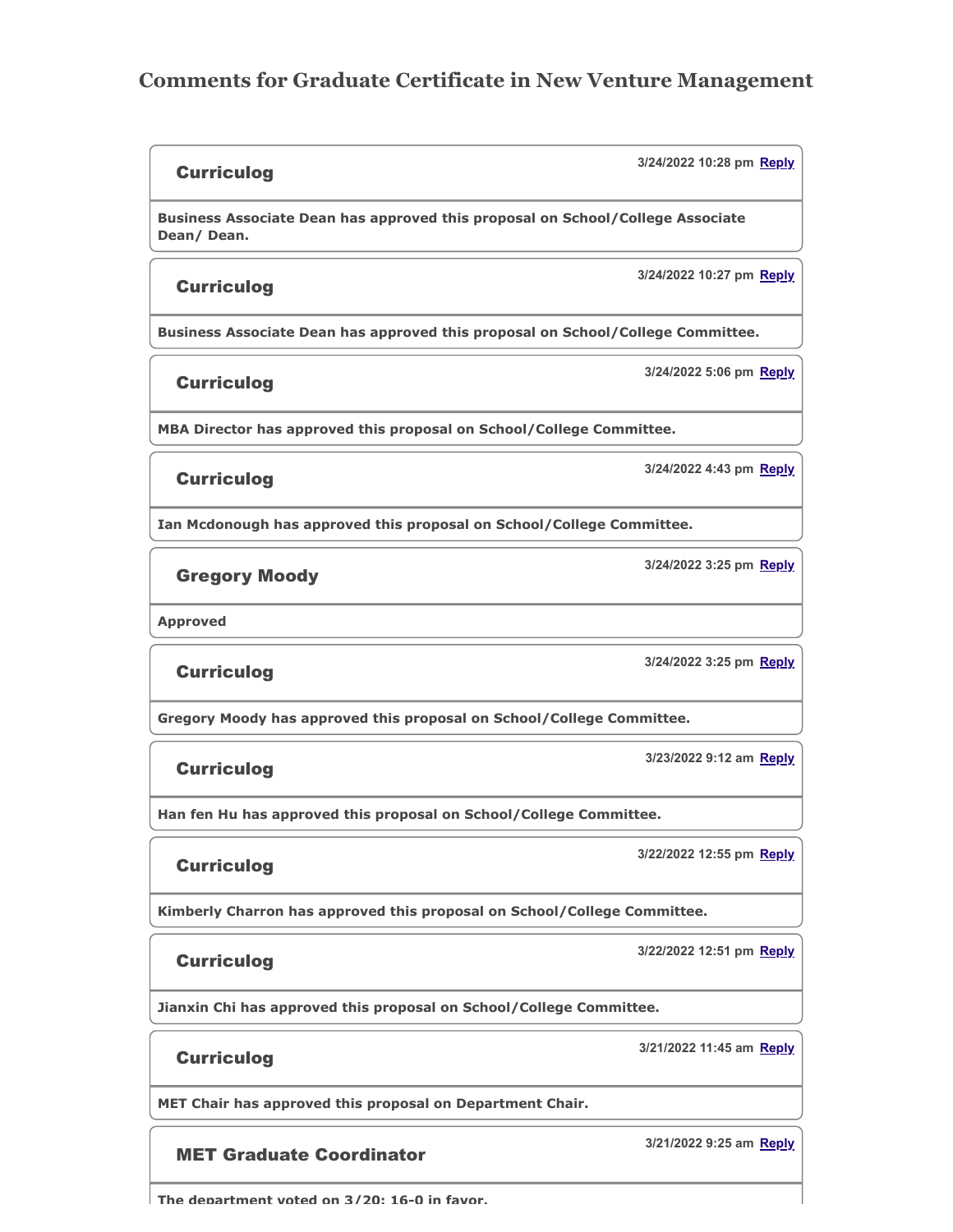## **Comments for Graduate Certificate in New Venture Management**

#### **Curriculog**

**Business Associate Dean has approved this proposal on School/College Associate Dean/ Dean.**

#### Curriculog

**3/24/2022 10:27 pm Reply**

**Business Associate Dean has approved this proposal on School/College Committee.**

**Curriculog** 

**3/24/2022 5:06 pm Reply**

**3/24/2022 10:28 pm Reply**

**MBA Director has approved this proposal on School/College Committee.**

#### **Curriculog**

**3/24/2022 4:43 pm Reply**

**Ian Mcdonough has approved this proposal on School/College Committee.**

### Gregory Moody

**3/24/2022 3:25 pm Reply**

**Approved**

### **Curriculog**

**3/24/2022 3:25 pm Reply**

**Gregory Moody has approved this proposal on School/College Committee.**

### **Curriculog**

**3/23/2022 9:12 am Reply**

**3/22/2022 12:55 pm Reply**

**3/22/2022 12:51 pm Reply**

**Han fen Hu has approved this proposal on School/College Committee.**

### Curriculog

**Kimberly Charron has approved this proposal on School/College Committee.**

### **Curriculog**

**Jianxin Chi has approved this proposal on School/College Committee.**

### **Curriculog**

**3/21/2022 11:45 am Reply**

**MET Chair has approved this proposal on Department Chair.**

### MET Graduate Coordinator

**The department voted on 3/20: 16-0 in favor.**

**3/21/2022 9:25 am Reply**